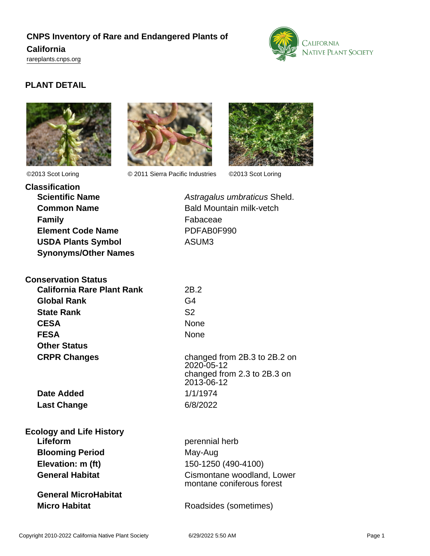# **CNPS Inventory of Rare and Endangered Plants of California** <rareplants.cnps.org>



## **PLANT DETAIL**





©2013 Scot Loring © 2011 Sierra Pacific Industries ©2013 Scot Loring



| <b>Classification</b>       |
|-----------------------------|
| <b>Scientific Name</b>      |
| <b>Common Name</b>          |
| <b>Family</b>               |
| <b>Element Code Name</b>    |
| <b>USDA Plants Symbol</b>   |
| <b>Synonyms/Other Names</b> |
|                             |

Astragalus umbraticus Sheld. **Bald Mountain milk-vetch Fabaceae Element Code Name** PDFAB0F990 ASUM3

| <b>Conservation Status</b>        |                                                                                         |
|-----------------------------------|-----------------------------------------------------------------------------------------|
| <b>California Rare Plant Rank</b> | 2B.2                                                                                    |
| <b>Global Rank</b>                | G4                                                                                      |
| <b>State Rank</b>                 | S <sub>2</sub>                                                                          |
| <b>CESA</b>                       | None                                                                                    |
| <b>FESA</b>                       | None                                                                                    |
| <b>Other Status</b>               |                                                                                         |
| <b>CRPR Changes</b>               | changed from 2B.3 to 2B.2 on<br>2020-05-12<br>changed from 2.3 to 2B.3 on<br>2013-06-12 |
| Date Added                        | 1/1/1974                                                                                |
| <b>Last Change</b>                | 6/8/2022                                                                                |
| <b>Ecology and Life History</b>   |                                                                                         |

**Lifeform** perennial herb **Blooming Period** May-Aug

**General MicroHabitat**

**Elevation: m (ft)** 150-1250 (490-4100) **General Habitat** Cismontane woodland, Lower montane coniferous forest

**Micro Habitat** Roadsides (sometimes)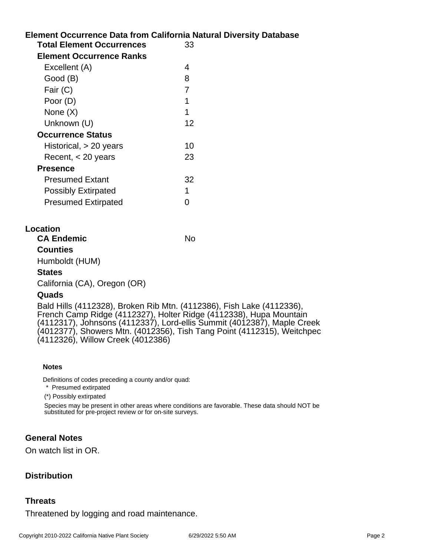|                                  | <b>Element Occurrence Data from California Natural Diversity Database</b> |
|----------------------------------|---------------------------------------------------------------------------|
| <b>Total Element Occurrences</b> | 33                                                                        |
| <b>Element Occurrence Ranks</b>  |                                                                           |
| Excellent (A)                    | 4                                                                         |
| Good (B)                         | 8                                                                         |
| Fair (C)                         | 7                                                                         |
| Poor (D)                         | 1                                                                         |
| None $(X)$                       | 1                                                                         |
| Unknown (U)                      | 12                                                                        |
| <b>Occurrence Status</b>         |                                                                           |
| Historical, $> 20$ years         | 10                                                                        |
| Recent, $<$ 20 years             | 23                                                                        |
| <b>Presence</b>                  |                                                                           |
| <b>Presumed Extant</b>           | 32                                                                        |
| <b>Possibly Extirpated</b>       |                                                                           |
| <b>Presumed Extirpated</b>       |                                                                           |
|                                  |                                                                           |

### **Location**

**CA Endemic** No

**Counties**

Humboldt (HUM)

#### **States**

California (CA), Oregon (OR)

### **Quads**

Bald Hills (4112328), Broken Rib Mtn. (4112386), Fish Lake (4112336), French Camp Ridge (4112327), Holter Ridge (4112338), Hupa Mountain (4112317), Johnsons (4112337), Lord-ellis Summit (4012387), Maple Creek (4012377), Showers Mtn. (4012356), Tish Tang Point (4112315), Weitchpec (4112326), Willow Creek (4012386)

#### **Notes**

Definitions of codes preceding a county and/or quad:

\* Presumed extirpated

(\*) Possibly extirpated

Species may be present in other areas where conditions are favorable. These data should NOT be substituted for pre-project review or for on-site surveys.

### **General Notes**

On watch list in OR.

### **Distribution**

### **Threats**

Threatened by logging and road maintenance.